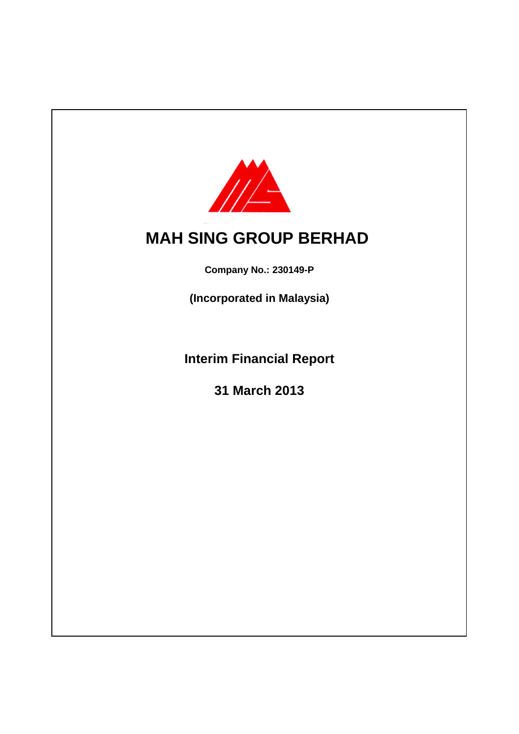

# **MAH SING GROUP BERHAD**

**Company No.: 230149-P**

**(Incorporated in Malaysia)**

**Interim Financial Report**

**31 March 2013**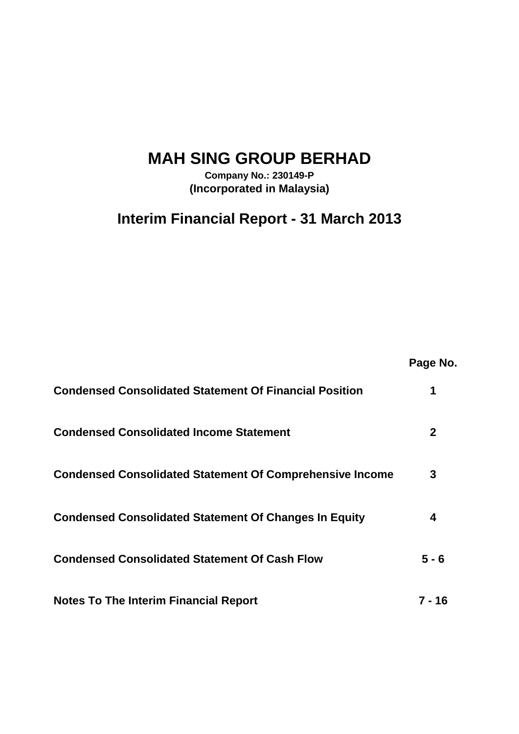## **MAH SING GROUP BERHAD**

**Company No.: 230149-P (Incorporated in Malaysia)**

## **Interim Financial Report - 31 March 2013**

**Page No.**

| <b>Condensed Consolidated Statement Of Financial Position</b>   |         |
|-----------------------------------------------------------------|---------|
| <b>Condensed Consolidated Income Statement</b>                  |         |
| <b>Condensed Consolidated Statement Of Comprehensive Income</b> | 3       |
| <b>Condensed Consolidated Statement Of Changes In Equity</b>    |         |
| <b>Condensed Consolidated Statement Of Cash Flow</b>            | $5 - 6$ |
| <b>Notes To The Interim Financial Report</b>                    | 7 - 16  |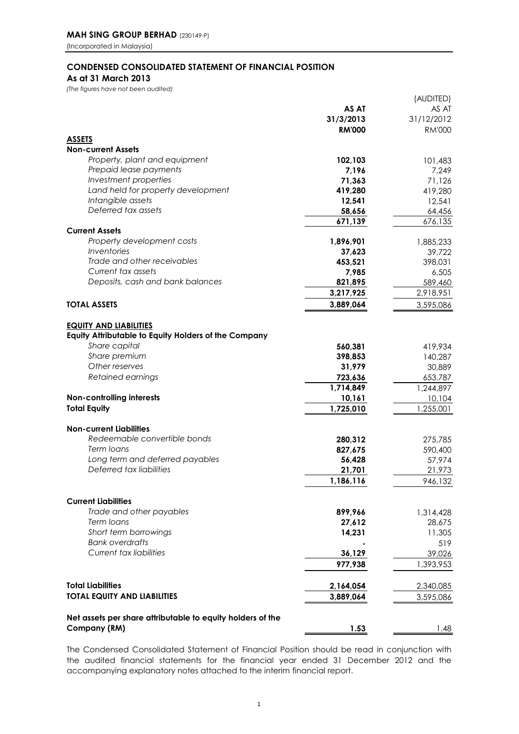### **CONDENSED CONSOLIDATED STATEMENT OF FINANCIAL POSITION As at 31 March 2013**

*(The figures have not been audited)*

|                                                             |               | (AUDITED)         |
|-------------------------------------------------------------|---------------|-------------------|
|                                                             | AS AT         | AS AT             |
|                                                             | 31/3/2013     | 31/12/2012        |
|                                                             | <b>RM'000</b> | <b>RM'000</b>     |
| <b>ASSETS</b>                                               |               |                   |
| <b>Non-current Assets</b>                                   |               |                   |
| Property, plant and equipment                               | 102,103       | 101,483           |
| Prepaid lease payments                                      | 7,196         | 7,249             |
| Investment properties                                       | 71,363        | 71,126            |
| Land held for property development                          | 419,280       | 419,280           |
| Intangible assets                                           | 12,541        | 12,541            |
| Deferred tax assets                                         | 58,656        |                   |
|                                                             | 671,139       | 64,456<br>676,135 |
| <b>Current Assets</b>                                       |               |                   |
| Property development costs                                  |               |                   |
| Inventories                                                 | 1,896,901     | 1,885,233         |
| Trade and other receivables                                 | 37,623        | 39,722            |
|                                                             | 453,521       | 398,031           |
| Current tax assets<br>Deposits, cash and bank balances      | 7,985         | 6,505             |
|                                                             | 821,895       | 589,460           |
|                                                             | 3,217,925     | 2,918,951         |
| <b>TOTAL ASSETS</b>                                         | 3,889,064     | 3,595,086         |
|                                                             |               |                   |
| <b>EQUITY AND LIABILITIES</b>                               |               |                   |
| <b>Equity Attributable to Equity Holders of the Company</b> |               |                   |
| Share capital                                               | 560,381       | 419,934           |
| Share premium                                               | 398,853       | 140,287           |
| Other reserves                                              | 31,979        | 30,889            |
| Retained earnings                                           | 723,636       | 653,787           |
|                                                             | 1,714,849     | 1,244,897         |
| Non-controlling interests                                   | 10,161        | 10,104            |
| <b>Total Equity</b>                                         | 1,725,010     | 1,255,001         |
|                                                             |               |                   |
| <b>Non-current Liabilities</b>                              |               |                   |
| Redeemable convertible bonds                                | 280,312       | 275,785           |
| Term Ioans                                                  | 827,675       | 590,400           |
| Long term and deferred payables                             | 56,428        | 57,974            |
| Deferred tax liabilities                                    | 21,701        | 21,973            |
|                                                             | 1,186,116     | 946,132           |
|                                                             |               |                   |
| <b>Current Liabilities</b>                                  |               |                   |
| Trade and other payables                                    | 899,966       | 1,314,428         |
| Term loans                                                  | 27,612        | 28,675            |
| Short term borrowings                                       | 14,231        | 11,305            |
| <b>Bank overdrafts</b>                                      |               | 519               |
| <b>Current tax liabilities</b>                              | 36,129        | 39,026            |
|                                                             | 977,938       | 1,393,953         |
|                                                             |               |                   |
| <b>Total Liabilities</b>                                    |               |                   |
|                                                             | 2,164,054     | 2,340,085         |
| <b>TOTAL EQUITY AND LIABILITIES</b>                         | 3,889,064     | 3,595,086         |
|                                                             |               |                   |
| Net assets per share attributable to equity holders of the  |               |                   |
| Company (RM)                                                | 1.53          | 1.48              |

The Condensed Consolidated Statement of Financial Position should be read in conjunction with the audited financial statements for the financial year ended 31 December 2012 and the accompanying explanatory notes attached to the interim financial report.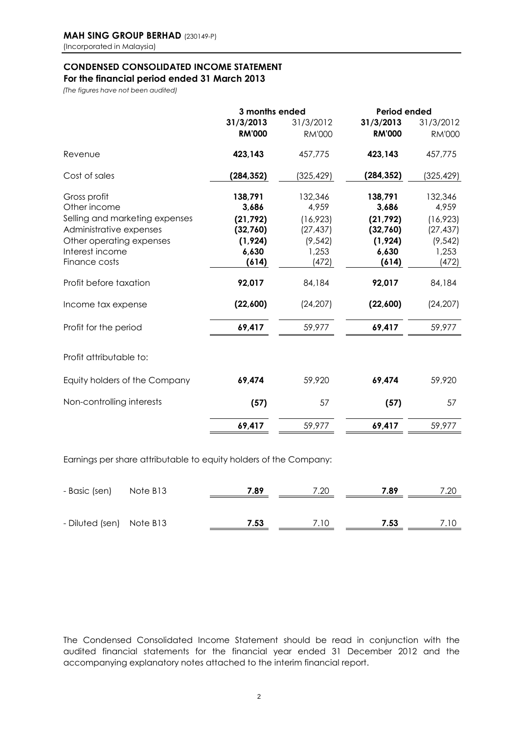## **CONDENSED CONSOLIDATED INCOME STATEMENT**

**For the financial period ended 31 March 2013**

*(The figures have not been audited)*

|                                | 3 months ended |               | Period ended  |               |
|--------------------------------|----------------|---------------|---------------|---------------|
|                                | 31/3/2013      | 31/3/2012     | 31/3/2013     | 31/3/2012     |
|                                | <b>RM'000</b>  | <b>RM'000</b> | <b>RM'000</b> | <b>RM'000</b> |
| Revenue                        | 423,143        | 457,775       | 423,143       | 457,775       |
| Cost of sales                  | (284, 352)     | (325, 429)    | (284, 352)    | (325,429)     |
| Gross profit                   | 138,791        | 132,346       | 138,791       | 132,346       |
| Other income                   | 3,686          | 4,959         | 3,686         | 4,959         |
| Selling and marketing expenses | (21, 792)      | (16, 923)     | (21, 792)     | (16, 923)     |
| Administrative expenses        | (32,760)       | (27, 437)     | (32,760)      | (27, 437)     |
| Other operating expenses       | (1, 924)       | (9, 542)      | (1, 924)      | (9, 542)      |
| Interest income                | 6,630          | 1,253         | 6,630         | 1,253         |
| Finance costs                  | (614)          | (472)         | (614)         | (472)         |
| Profit before taxation         | 92,017         | 84,184        | 92,017        | 84,184        |
| Income tax expense             | (22,600)       | (24, 207)     | (22,600)      | (24, 207)     |
| Profit for the period          | 69,417         | 59,977        | 69,417        | 59,977        |
| Profit attributable to:        |                |               |               |               |
| Equity holders of the Company  | 69,474         | 59,920        | 69,474        | 59,920        |
| Non-controlling interests      | (57)           | 57            | (57)          | 57            |
|                                | 69,417         | 59,977        | 69,417        | 59,977        |
|                                |                |               |               |               |

Earnings per share attributable to equity holders of the Company:

| - Basic (sen) Note B13   | 7.89 | 7.20 | 7.89 | 7.20 |
|--------------------------|------|------|------|------|
|                          |      |      |      |      |
| - Diluted (sen) Note B13 | 7.53 | 7.10 | 7.53 | 7.10 |

The Condensed Consolidated Income Statement should be read in conjunction with the audited financial statements for the financial year ended 31 December 2012 and the accompanying explanatory notes attached to the interim financial report.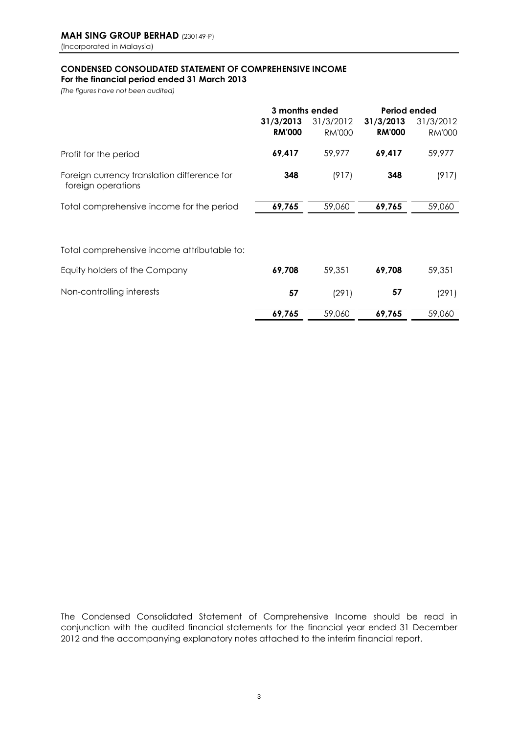### **CONDENSED CONSOLIDATED STATEMENT OF COMPREHENSIVE INCOME**

**For the financial period ended 31 March 2013**

*(The figures have not been audited)*

|                                                                   | 3 months ended             |                            | Period ended               |                            |
|-------------------------------------------------------------------|----------------------------|----------------------------|----------------------------|----------------------------|
|                                                                   | 31/3/2013<br><b>RM'000</b> | 31/3/2012<br><b>RM'000</b> | 31/3/2013<br><b>RM'000</b> | 31/3/2012<br><b>RM'000</b> |
| Profit for the period                                             | 69,417                     | 59,977                     | 69,417                     | 59,977                     |
| Foreign currency translation difference for<br>foreign operations | 348                        | (917)                      | 348                        | (917)                      |
| Total comprehensive income for the period                         | 69,765                     | 59,060                     | 69,765                     | 59,060                     |
| Total comprehensive income attributable to:                       |                            |                            |                            |                            |
| Equity holders of the Company                                     | 69,708                     | 59,351                     | 69,708                     | 59,351                     |
| Non-controlling interests                                         | 57                         | (291)                      | 57                         | (291)                      |
|                                                                   | 69,765                     | 59,060                     | 69,765                     | 59,060                     |

The Condensed Consolidated Statement of Comprehensive Income should be read in conjunction with the audited financial statements for the financial year ended 31 December 2012 and the accompanying explanatory notes attached to the interim financial report.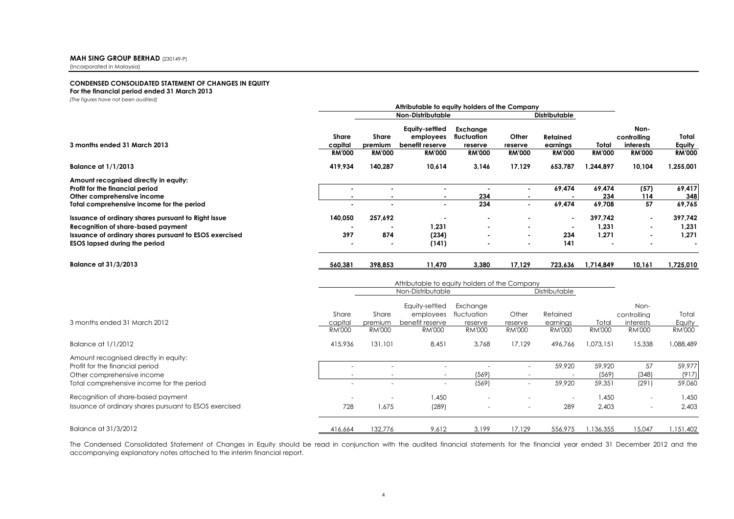#### **MAH SING GROUP BERHAD** (230149-P)

(Incorporated in Malaysia)

#### **CONDENSED CONSOLIDATED STATEMENT OF CHANGES IN EQUITY For the financial period ended 31 March 2013**

*(The figures have not been audited)*

|                                                                                                                                                                                             | Attributable to equity holders of the Company                                       |                                          |                                                                 |                                                     |                                                    |                                              |                           |                                                   |                                  |
|---------------------------------------------------------------------------------------------------------------------------------------------------------------------------------------------|-------------------------------------------------------------------------------------|------------------------------------------|-----------------------------------------------------------------|-----------------------------------------------------|----------------------------------------------------|----------------------------------------------|---------------------------|---------------------------------------------------|----------------------------------|
|                                                                                                                                                                                             |                                                                                     |                                          | <b>Non-Distributable</b>                                        |                                                     |                                                    | <b>Distributable</b>                         |                           |                                                   |                                  |
| 3 months ended 31 March 2013                                                                                                                                                                | <b>Share</b><br>capital<br><b>RM'000</b>                                            | <b>Share</b><br>premium<br><b>RM'000</b> | Equity-settled<br>employees<br>benefit reserve<br><b>RM'000</b> | Exchange<br>fluctuation<br>reserve<br><b>RM'000</b> | Other<br>reserve<br><b>RM'000</b>                  | <b>Retained</b><br>earnings<br><b>RM'000</b> | Total<br><b>RM'000</b>    | Non-<br>controlling<br>interests<br><b>RM'000</b> | Total<br>Equity<br><b>RM'000</b> |
| <b>Balance at 1/1/2013</b>                                                                                                                                                                  | 419,934                                                                             | 140,287                                  | 10,614                                                          | 3,146                                               | 17,129                                             | 653,787                                      | 1,244,897                 | 10,104                                            | 1,255,001                        |
| Amount recognised directly in equity:<br>Profit for the financial period<br>Other comprehensive income<br>Total comprehensive income for the period                                         | ٠                                                                                   | $\blacksquare$<br>$\blacksquare$         | $\sim$<br>٠                                                     | $\blacksquare$<br>234<br>234                        | $\blacksquare$<br>$\blacksquare$<br>$\blacksquare$ | 69,474<br>69.474                             | 69,474<br>234<br>69,708   | (57)<br>114<br>57                                 | 69,417<br>348<br>69,765          |
| Issuance of ordinary shares pursuant to Right Issue<br>Recognition of share-based payment<br>Issuance of ordinary shares pursuant to ESOS exercised<br><b>ESOS lapsed during the period</b> | 140,050<br>397                                                                      | 257,692<br>874                           | 1,231<br>(234)<br>(141)                                         |                                                     |                                                    | 234<br>141                                   | 397,742<br>1,231<br>1,271 | $\blacksquare$                                    | 397,742<br>1,231<br>1,271        |
| <b>Balance at 31/3/2013</b>                                                                                                                                                                 | 560.381                                                                             | 398.853                                  | 11.470                                                          | 3,380                                               | 17.129                                             | 723,636                                      | 1,714,849                 | 10,161                                            | 1,725,010                        |
|                                                                                                                                                                                             | Attributable to equity holders of the Company<br>Non-Distributable<br>Distributable |                                          |                                                                 |                                                     |                                                    |                                              |                           |                                                   |                                  |
| 3 months ended 31 March 2012                                                                                                                                                                | Share<br>capital<br><b>RM'000</b>                                                   | Share<br>premium<br><b>RM'000</b>        | Equity-settled<br>employees<br>benefit reserve<br><b>RM'000</b> | Exchange<br>fluctuation<br>reserve<br><b>RM'000</b> | Other<br>reserve<br><b>RM'000</b>                  | Retained<br>earnings<br><b>RM'000</b>        | Total<br><b>RM'000</b>    | Non-<br>controllina<br>interests<br><b>RM'000</b> | Total<br>Equity<br><b>RM'000</b> |
| <b>Balance at 1/1/2012</b>                                                                                                                                                                  | 415.936                                                                             | 131.101                                  | 8.451                                                           | 3.768                                               | 17.129                                             | 496.766                                      | 1.073.151                 | 15,338                                            | 1,088,489                        |
| Amount recognised directly in equity:<br>Profit for the financial period<br>Other comprehensive income<br>Total comprehensive income for the period                                         | $\sim$                                                                              | $\sim$<br>$\overline{\phantom{a}}$<br>÷. | $\sim$<br>$\overline{\phantom{a}}$<br>$\sim$                    | ÷.<br>(569)<br>(569)                                | $\sim$<br>$\sim$<br>÷                              | 59,920<br>$\sim$<br>59.920                   | 59,920<br>(569)<br>59.351 | 57<br>(348)<br>(291)                              | 59,977<br>(917)<br>59.060        |
| Recognition of share-based payment<br>Issuance of ordinary shares pursuant to ESOS exercised                                                                                                | 728                                                                                 | 1,675                                    | 1,450<br>(289)                                                  |                                                     |                                                    | $\sim$<br>289                                | 1,450<br>2,403            |                                                   | 1,450<br>2,403                   |
| Balance at 31/3/2012                                                                                                                                                                        | 416,664                                                                             | 132,776                                  | 9,612                                                           | 3.199                                               | 17.129                                             | 556,975                                      | 1,136,355                 | 15,047                                            | 1,151,402                        |

The Condensed Consolidated Statement of Changes in Equity should be read in conjunction with the audited financial statements for the financial year ended 31 December 2012 and the accompanying explanatory notes attached to the interim financial report.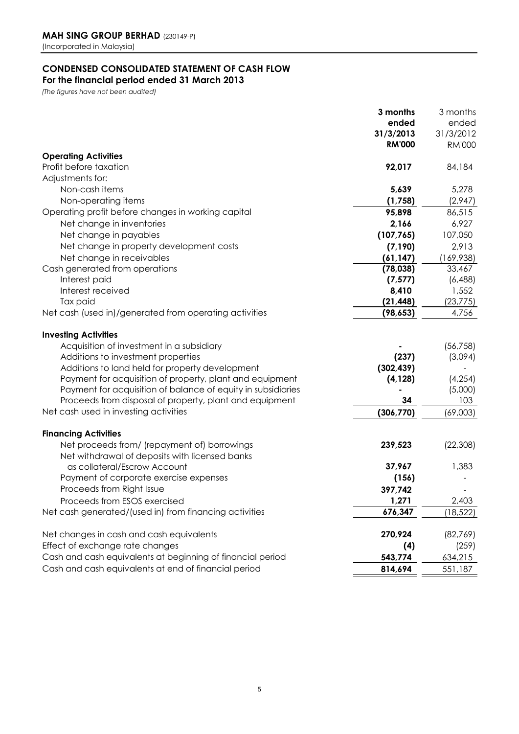### **CONDENSED CONSOLIDATED STATEMENT OF CASH FLOW**

**For the financial period ended 31 March 2013**

*(The figures have not been audited)*

|                                                              | 3 months      | 3 months      |
|--------------------------------------------------------------|---------------|---------------|
|                                                              | ended         | ended         |
|                                                              | 31/3/2013     | 31/3/2012     |
|                                                              | <b>RM'000</b> | <b>RM'000</b> |
| <b>Operating Activities</b>                                  |               |               |
| Profit before taxation                                       | 92,017        | 84,184        |
| Adjustments for:                                             |               |               |
| Non-cash items                                               | 5,639         | 5,278         |
| Non-operating items                                          | (1,758)       | (2,947)       |
| Operating profit before changes in working capital           | 95,898        | 86,515        |
| Net change in inventories                                    | 2,166         | 6,927         |
| Net change in payables                                       | (107, 765)    | 107,050       |
| Net change in property development costs                     | (7, 190)      | 2,913         |
| Net change in receivables                                    | (61, 147)     | (169,938)     |
| Cash generated from operations                               | (78, 038)     | 33,467        |
| Interest paid                                                | (7, 577)      | (6, 488)      |
| Interest received                                            | 8,410         | 1,552         |
| Tax paid                                                     | (21, 448)     | (23, 775)     |
| Net cash (used in)/generated from operating activities       | (98, 653)     | 4,756         |
|                                                              |               |               |
| <b>Investing Activities</b>                                  |               |               |
| Acquisition of investment in a subsidiary                    |               | (56, 758)     |
| Additions to investment properties                           | (237)         | (3,094)       |
| Additions to land held for property development              | (302, 439)    |               |
| Payment for acquisition of property, plant and equipment     | (4, 128)      | (4, 254)      |
| Payment for acquisition of balance of equity in subsidiaries |               | (5,000)       |
| Proceeds from disposal of property, plant and equipment      | 34            | 103           |
| Net cash used in investing activities                        | (306, 770)    | (69,003)      |
|                                                              |               |               |
| <b>Financing Activities</b>                                  |               |               |
| Net proceeds from/ (repayment of) borrowings                 | 239,523       | (22, 308)     |
| Net withdrawal of deposits with licensed banks               |               |               |
| as collateral/Escrow Account                                 | 37,967        | 1,383         |
| Payment of corporate exercise expenses                       | (156)         |               |
| Proceeds from Right Issue                                    | 397,742       |               |
| Proceeds from ESOS exercised                                 | 1,271         | 2,403         |
| Net cash generated/(used in) from financing activities       | 676,347       | (18,522)      |
| Net changes in cash and cash equivalents                     | 270,924       |               |
| Effect of exchange rate changes                              |               | (82,769)      |
|                                                              | (4)           | (259)         |
| Cash and cash equivalents at beginning of financial period   | 543,774       | 634,215       |
| Cash and cash equivalents at end of financial period         | 814,694       | 551,187       |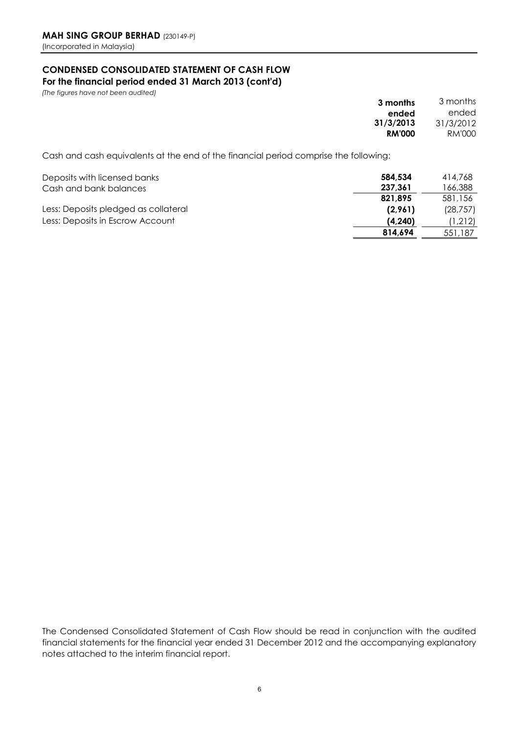### **CONDENSED CONSOLIDATED STATEMENT OF CASH FLOW**

**For the financial period ended 31 March 2013 (cont'd)**

*(The figures have not been audited)* 

| 3 months      |
|---------------|
| ended         |
| 31/3/2013     |
| <b>RM'000</b> |
|               |

Cash and cash equivalents at the end of the financial period comprise the following:

| Deposits with licensed banks<br>Cash and bank balances | 584.534<br>237.361 | 414.768<br>166,388 |
|--------------------------------------------------------|--------------------|--------------------|
|                                                        | 821.895            | 581,156            |
| Less: Deposits pledged as collateral                   | (2.961)            | (28, 757)          |
| Less: Deposits in Escrow Account                       | (4, 240)           | (1,212)            |
|                                                        | 814.694            | 551,187            |

The Condensed Consolidated Statement of Cash Flow should be read in conjunction with the audited financial statements for the financial year ended 31 December 2012 and the accompanying explanatory notes attached to the interim financial report.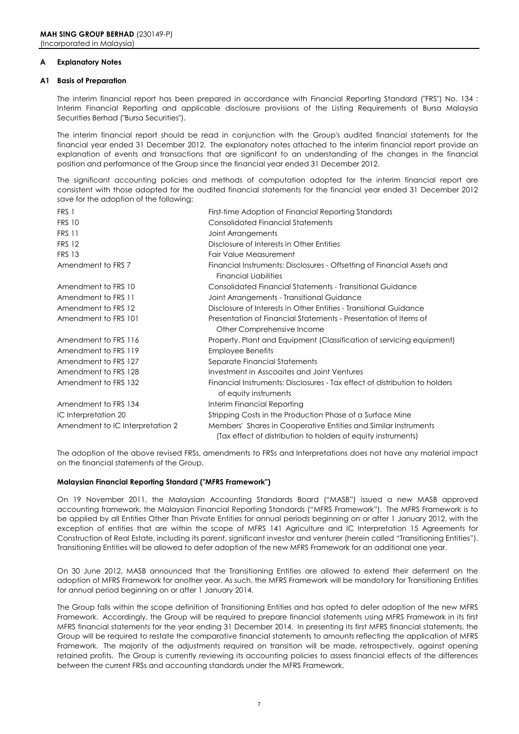#### **A Explanatory Notes**

#### **A1 Basis of Preparation**

The interim financial report has been prepared in accordance with Financial Reporting Standard ("FRS") No. 134 : Interim Financial Reporting and applicable disclosure provisions of the Listing Requirements of Bursa Malaysia Securities Berhad ("Bursa Securities").

The interim financial report should be read in conjunction with the Group's audited financial statements for the financial year ended 31 December 2012. The explanatory notes attached to the interim financial report provide an explanation of events and transactions that are significant to an understanding of the changes in the financial position and performance of the Group since the financial year ended 31 December 2012.

The significant accounting policies and methods of computation adopted for the interim financial report are consistent with those adopted for the audited financial statements for the financial year ended 31 December 2012 save for the adoption of the following:

| FRS 1                            | First-time Adoption of Financial Reporting Standards                                                                             |
|----------------------------------|----------------------------------------------------------------------------------------------------------------------------------|
| <b>FRS 10</b>                    | <b>Consolidated Financial Statements</b>                                                                                         |
| <b>FRS 11</b>                    | Joint Arrangements                                                                                                               |
| <b>FRS 12</b>                    | Disclosure of Interests in Other Entities                                                                                        |
| <b>FRS 13</b>                    | Fair Value Measurement                                                                                                           |
| Amendment to FRS 7               | Financial Instruments: Disclosures - Offsetting of Financial Assets and<br><b>Financial Liabilities</b>                          |
| Amendment to FRS 10              | Consolidated Financial Statements - Transitional Guidance                                                                        |
| Amendment to FRS 11              | Joint Arrangements - Transitional Guidance                                                                                       |
| Amendment to FRS 12              | Disclosure of Interests in Other Entities - Transitional Guidance                                                                |
| Amendment to FRS 101             | Presentation of Financial Statements - Presentation of Items of                                                                  |
|                                  | Other Comprehensive Income                                                                                                       |
| Amendment to FRS 116             | Property, Plant and Equipment (Classification of servicing equipment)                                                            |
| Amendment to FRS 119             | <b>Employee Benefits</b>                                                                                                         |
| Amendment to FRS 127             | Separate Financial Statements                                                                                                    |
| Amendment to FRS 128             | Investment in Asscogites and Joint Ventures                                                                                      |
| Amendment to FRS 132             | Financial Instruments: Disclosures - Tax effect of distribution to holders<br>of equity instruments                              |
| Amendment to FRS 134             | Interim Financial Reporting                                                                                                      |
| IC Interpretation 20             | Stripping Costs in the Production Phase of a Surface Mine                                                                        |
| Amendment to IC Interpretation 2 | Members' Shares in Cooperative Entities and Similar Instruments<br>(Tax effect of distribution to holders of equity instruments) |

The adoption of the above revised FRSs, amendments to FRSs and Interpretations does not have any material impact on the financial statements of the Group.

#### **Malaysian Financial Reporting Standard ("MFRS Framework")**

On 19 November 2011, the Malaysian Accounting Standards Board ("MASB") issued a new MASB approved accounting framework, the Malaysian Financial Reporting Standards ("MFRS Framework"). The MFRS Framework is to be applied by all Entities Other Than Private Entities for annual periods beginning on or after 1 January 2012, with the exception of entities that are within the scope of MFRS 141 Agriculture and IC Interpretation 15 Agreements for Construction of Real Estate, including its parent, significant investor and venturer (herein called "Transitioning Entities"). Transitioning Entities will be allowed to defer adoption of the new MFRS Framework for an additional one year.

On 30 June 2012, MASB announced that the Transitioning Entities are allowed to extend their deferment on the adoption of MFRS Framework for another year. As such, the MFRS Framework will be mandotory for Transitioning Entities for annual period beginning on or after 1 January 2014.

The Group falls within the scope definition of Transitioning Entities and has opted to defer adoption of the new MFRS Framework. Accordingly, the Group will be required to prepare financial statements using MFRS Framework in its first MFRS financial statements for the year ending 31 December 2014. In presenting its first MFRS financial statements, the Group will be required to restate the comparative financial statements to amounts reflecting the application of MFRS Framework. The majority of the adjustments required on transition will be made, retrospectively, against opening retained profits. The Group is currently reviewing its accounting policies to assess financial effects of the differences between the current FRSs and accounting standards under the MFRS Framework.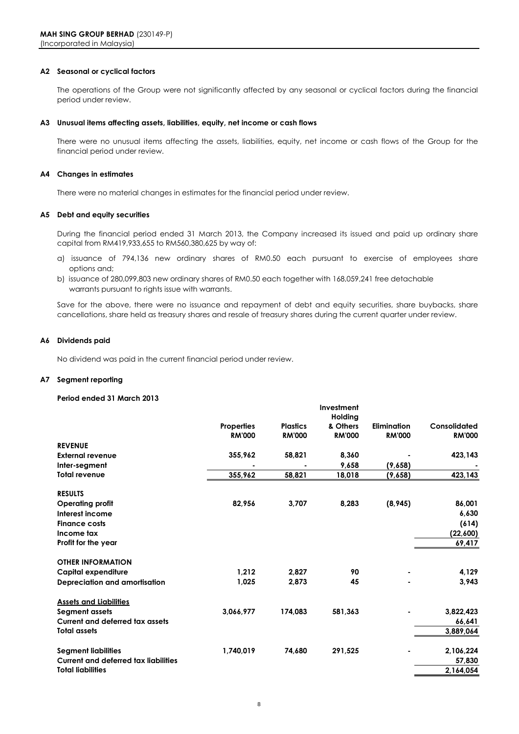#### **A2 Seasonal or cyclical factors**

The operations of the Group were not significantly affected by any seasonal or cyclical factors during the financial period under review.

#### **A3 Unusual items affecting assets, liabilities, equity, net income or cash flows**

There were no unusual items affecting the assets, liabilities, equity, net income or cash flows of the Group for the financial period under review.

#### **A4 Changes in estimates**

There were no material changes in estimates for the financial period under review.

#### **A5 Debt and equity securities**

During the financial period ended 31 March 2013, the Company increased its issued and paid up ordinary share capital from RM419,933,655 to RM560,380,625 by way of:

- a) issuance of 794,136 new ordinary shares of RM0.50 each pursuant to exercise of employees share options and;
- warrants pursuant to rights issue with warrants. b) issuance of 280,099,803 new ordinary shares of RM0.50 each together with 168,059,241 free detachable

Save for the above, there were no issuance and repayment of debt and equity securities, share buybacks, share cancellations, share held as treasury shares and resale of treasury shares during the current quarter under review.

#### **A6 Dividends paid**

No dividend was paid in the current financial period under review.

#### **A7 Segment reporting**

#### **Period ended 31 March 2013**

|                                             |                   |                 | Investment    |                    |               |
|---------------------------------------------|-------------------|-----------------|---------------|--------------------|---------------|
|                                             |                   |                 | Holding       |                    |               |
|                                             | <b>Properties</b> | <b>Plastics</b> | & Others      | <b>Elimination</b> | Consolidated  |
|                                             | <b>RM'000</b>     | <b>RM'000</b>   | <b>RM'000</b> | <b>RM'000</b>      | <b>RM'000</b> |
| <b>REVENUE</b>                              |                   |                 |               |                    |               |
| <b>External revenue</b>                     | 355,962           | 58,821          | 8,360         |                    | 423,143       |
| Inter-segment                               |                   |                 | 9.658         | (9,658)            |               |
| <b>Total revenue</b>                        | 355,962           | 58,821          | 18,018        | (9,658)            | 423,143       |
| <b>RESULTS</b>                              |                   |                 |               |                    |               |
| <b>Operating profit</b>                     | 82,956            | 3,707           | 8,283         | (8, 945)           | 86,001        |
| Interest income                             |                   |                 |               |                    | 6,630         |
| <b>Finance costs</b>                        |                   |                 |               |                    | (614)         |
| Income tax                                  |                   |                 |               |                    | (22,600)      |
| Profit for the year                         |                   |                 |               |                    | 69,417        |
|                                             |                   |                 |               |                    |               |
| <b>OTHER INFORMATION</b>                    |                   |                 |               |                    |               |
| <b>Capital expenditure</b>                  | 1.212             | 2,827           | 90            | ٠                  | 4,129         |
| Depreciation and amortisation               | 1,025             | 2,873           | 45            |                    | 3,943         |
|                                             |                   |                 |               |                    |               |
| <b>Assets and Liabilities</b>               |                   |                 |               |                    |               |
| Segment assets                              | 3,066,977         | 174,083         | 581,363       |                    | 3,822,423     |
| <b>Current and deferred tax assets</b>      |                   |                 |               |                    | 66,641        |
| <b>Total assets</b>                         |                   |                 |               |                    | 3,889,064     |
| <b>Segment liabilities</b>                  | 1,740,019         | 74,680          | 291,525       |                    | 2,106,224     |
| <b>Current and deferred tax liabilities</b> |                   |                 |               |                    | 57,830        |
| <b>Total liabilities</b>                    |                   |                 |               |                    | 2,164,054     |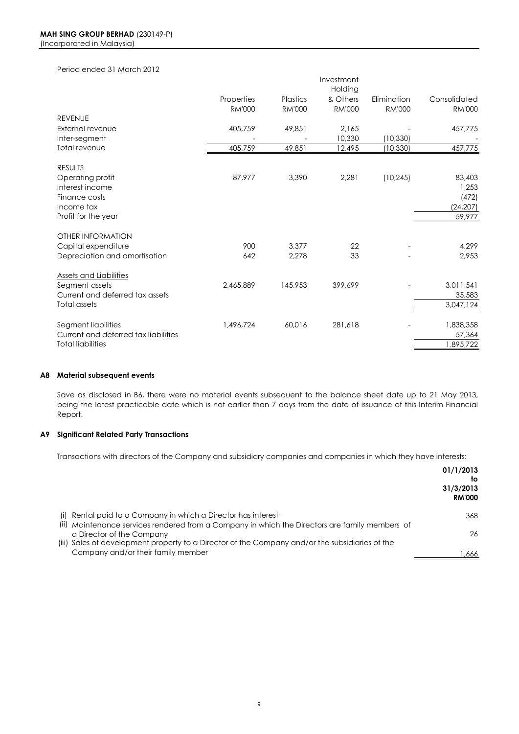#### Period ended 31 March 2012

|                                      |               |               | Investment    |               |               |
|--------------------------------------|---------------|---------------|---------------|---------------|---------------|
|                                      |               |               | Holding       |               |               |
|                                      | Properties    | Plastics      | & Others      | Elimination   | Consolidated  |
|                                      | <b>RM'000</b> | <b>RM'000</b> | <b>RM'000</b> | <b>RM'000</b> | <b>RM'000</b> |
| <b>REVENUE</b>                       |               |               |               |               |               |
| External revenue                     | 405,759       | 49,851        | 2.165         |               | 457,775       |
| Inter-segment                        |               |               | 10,330        | (10, 330)     |               |
| Total revenue                        | 405,759       | 49,851        | 12,495        | (10, 330)     | 457,775       |
| <b>RESULTS</b>                       |               |               |               |               |               |
| Operating profit                     | 87,977        | 3,390         | 2,281         | (10, 245)     | 83,403        |
| Interest income                      |               |               |               |               | 1,253         |
| Finance costs                        |               |               |               |               | (472)         |
| Income tax                           |               |               |               |               | (24, 207)     |
| Profit for the year                  |               |               |               |               | 59,977        |
| <b>OTHER INFORMATION</b>             |               |               |               |               |               |
| Capital expenditure                  | 900           | 3,377         | 22            |               | 4,299         |
| Depreciation and amortisation        | 642           | 2,278         | 33            |               | 2,953         |
| <b>Assets and Liabilities</b>        |               |               |               |               |               |
| Segment assets                       | 2,465,889     | 145,953       | 399,699       |               | 3,011,541     |
| Current and deferred tax assets      |               |               |               |               | 35,583        |
| Total assets                         |               |               |               |               | 3,047,124     |
|                                      |               |               |               |               |               |
| Segment liabilities                  | 1,496,724     | 60,016        | 281,618       |               | 1,838,358     |
| Current and deferred tax liabilities |               |               |               |               | 57,364        |
| <b>Total liabilities</b>             |               |               |               |               | 1,895,722     |

#### **A8 Material subsequent events**

Save as disclosed in B6, there were no material events subsequent to the balance sheet date up to 21 May 2013, being the latest practicable date which is not earlier than 7 days from the date of issuance of this Interim Financial Report.

#### **A9 Significant Related Party Transactions**

Transactions with directors of the Company and subsidiary companies and companies in which they have interests:

|                                                                                                 | 01/1/2013<br>to<br>31/3/2013<br><b>RM'000</b> |
|-------------------------------------------------------------------------------------------------|-----------------------------------------------|
| (i) Rental paid to a Company in which a Director has interest                                   | 368                                           |
| (ii) Maintenance services rendered from a Company in which the Directors are family members of  |                                               |
| a Director of the Company                                                                       | 26                                            |
| (iii) Sales of development property to a Director of the Company and/or the subsidiaries of the |                                               |
| Company and/or their family member                                                              | .666                                          |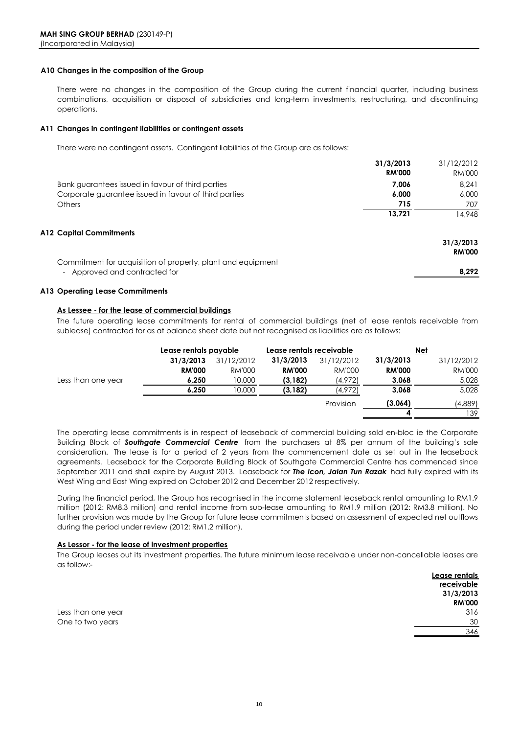#### **A10 Changes in the composition of the Group**

There were no changes in the composition of the Group during the current financial quarter, including business combinations, acquisition or disposal of subsidiaries and long-term investments, restructuring, and discontinuing operations.

#### **A11 Changes in contingent liabilities or contingent assets**

There were no contingent assets. Contingent liabilities of the Group are as follows:

|                                                                                              | 31/3/2013     | 31/12/2012                 |
|----------------------------------------------------------------------------------------------|---------------|----------------------------|
|                                                                                              | <b>RM'000</b> | RM'000                     |
| Bank guarantees issued in favour of third parties                                            | 7.006         | 8.241                      |
| Corporate guarantee issued in favour of third parties                                        | 6,000         | 6,000                      |
| <b>Others</b>                                                                                | 715           | 707                        |
|                                                                                              | 13,721        | 4,948                      |
| A12 Capital Commitments                                                                      |               | 31/3/2013<br><b>RM'000</b> |
| Commitment for acquisition of property, plant and equipment<br>- Approved and contracted for |               | 8,292                      |

#### **A13 Operating Lease Commitments**

#### **As Lessee - for the lease of commercial buildings**

The future operating lease commitments for rental of commercial buildings (net of lease rentals receivable from sublease) contracted for as at balance sheet date but not recognised as liabilities are as follows:

|                    | Lease rentals payable |               | Lease rentals receivable |            |               | Net        |
|--------------------|-----------------------|---------------|--------------------------|------------|---------------|------------|
|                    | 31/3/2013             | 31/12/2012    | 31/3/2013                | 31/12/2012 | 31/3/2013     | 31/12/2012 |
|                    | <b>RM'000</b>         | <b>RM'000</b> | <b>RM'000</b>            | RM'000     | <b>RM'000</b> | RM'000     |
| Less than one year | 6,250                 | 10,000        | (3, 182)                 | (4,972)    | 3,068         | 5,028      |
|                    | 6.250                 | 10.000        | (3, 182)                 | (4,972)    | 3,068         | 5,028      |
|                    |                       |               |                          | Provision  | (3,064)       | (4,889)    |
|                    |                       |               |                          |            |               | 139        |
|                    |                       |               |                          |            |               |            |

The operating lease commitments is in respect of leaseback of commercial building sold en-bloc ie the Corporate Building Block of *Southgate Commercial Centre* from the purchasers at 8% per annum of the building's sale consideration. The lease is for a period of 2 years from the commencement date as set out in the leaseback agreements. Leaseback for the Corporate Building Block of Southgate Commercial Centre has commenced since September 2011 and shall expire by August 2013. Leaseback for *The Icon, Jalan Tun Razak* had fully expired with its West Wing and East Wing expired on October 2012 and December 2012 respectively.

During the financial period, the Group has recognised in the income statement leaseback rental amounting to RM1.9 million (2012: RM8.3 million) and rental income from sub-lease amounting to RM1.9 million (2012: RM3.8 million). No further provision was made by the Group for future lease commitments based on assessment of expected net outflows during the period under review (2012: RM1.2 million).

#### **As Lessor - for the lease of investment properties**

The Group leases out its investment properties. The future minimum lease receivable under non-cancellable leases are as follow:-

|                    | Lease rentals |
|--------------------|---------------|
|                    | receivable    |
|                    | 31/3/2013     |
|                    | <b>RM'000</b> |
| Less than one year | 316           |
| One to two years   | 30            |
|                    | 346           |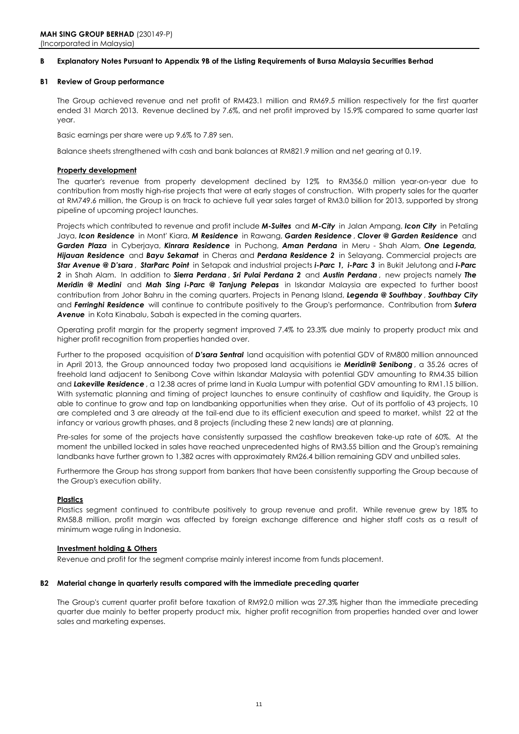#### **B Explanatory Notes Pursuant to Appendix 9B of the Listing Requirements of Bursa Malaysia Securities Berhad**

#### **B1 Review of Group performance**

The Group achieved revenue and net profit of RM423.1 million and RM69.5 million respectively for the first quarter ended 31 March 2013. Revenue declined by 7.6%, and net profit improved by 15.9% compared to same quarter last year.

Basic earnings per share were up 9.6% to 7.89 sen.

Balance sheets strengthened with cash and bank balances at RM821.9 million and net gearing at 0.19.

#### **Property development**

The quarter's revenue from property development declined by 12% to RM356.0 million year-on-year due to contribution from mostly high-rise projects that were at early stages of construction. With property sales for the quarter at RM749.6 million, the Group is on track to achieve full year sales target of RM3.0 billion for 2013, supported by strong pipeline of upcoming project launches.

Projects which contributed to revenue and profit include *M-Suites* and *M-City* in Jalan Ampang, *Icon City* in Petaling Jaya, *Icon Residence* in Mont' Kiara, *M Residence* in Rawang, *Garden Residence* , *Clover @ Garden Residence* and *Garden Plaza* in Cyberjaya, *Kinrara Residence* in Puchong, *Aman Perdana* in Meru - Shah Alam, *One Legenda, Hijauan Residence* and *Bayu Sekamat* in Cheras and *Perdana Residence 2* in Selayang. Commercial projects are *Star Avenue @ D'sara* , *StarParc Point* in Setapak and industrial projects *i-Parc 1, i-Parc 3* in Bukit Jelutong and *i-Parc 2* in Shah Alam. In addition to *Sierra Perdana* , *Sri Pulai Perdana 2* and *Austin Perdana* , new projects namely *The Meridin @ Medini* and *Mah Sing i-Parc @ Tanjung Pelepas* in Iskandar Malaysia are expected to further boost contribution from Johor Bahru in the coming quarters. Projects in Penang Island, *Legenda @ Southbay* , *Southbay City* and *Ferringhi Residence* will continue to contribute positively to the Group's performance. Contribution from *Sutera*  Avenue in Kota Kinabalu, Sabah is expected in the coming quarters.

Operating profit margin for the property segment improved 7.4% to 23.3% due mainly to property product mix and higher profit recognition from properties handed over.

Further to the proposed acquisition of *D'sara Sentral* land acquisition with potential GDV of RM800 million announced in April 2013, the Group announced today two proposed land acquisitions ie *Meridin@ Senibong* , a 35.26 acres of freehold land adjacent to Senibong Cove within Iskandar Malaysia with potential GDV amounting to RM4.35 billion and *Lakeville Residence* , a 12.38 acres of prime land in Kuala Lumpur with potential GDV amounting to RM1.15 billion. With systematic planning and timing of project launches to ensure continuity of cashflow and liquidity, the Group is able to continue to grow and tap on landbanking opportunities when they arise. Out of its portfolio of 43 projects, 10 are completed and 3 are already at the tail-end due to its efficient execution and speed to market, whilst 22 at the infancy or various growth phases, and 8 projects (including these 2 new lands) are at planning.

Pre-sales for some of the projects have consistently surpassed the cashflow breakeven take-up rate of 60%. At the moment the unbilled locked in sales have reached unprecedented highs of RM3.55 billion and the Group's remaining landbanks have further grown to 1,382 acres with approximately RM26.4 billion remaining GDV and unbilled sales.

Furthermore the Group has strong support from bankers that have been consistently supporting the Group because of the Group's execution ability.

#### **Plastics**

Plastics segment continued to contribute positively to group revenue and profit. While revenue grew by 18% to RM58.8 million, profit margin was affected by foreign exchange difference and higher staff costs as a result of minimum wage ruling in Indonesia.

#### **Investment holding & Others**

Revenue and profit for the segment comprise mainly interest income from funds placement.

#### **B2 Material change in quarterly results compared with the immediate preceding quarter**

The Group's current quarter profit before taxation of RM92.0 million was 27.3% higher than the immediate preceding quarter due mainly to better property product mix, higher profit recognition from properties handed over and lower sales and marketing expenses.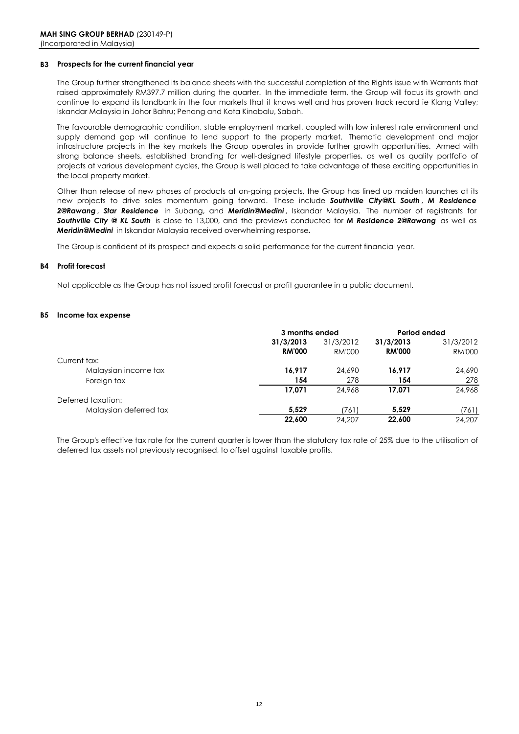#### **B3 Prospects for the current financial year**

The Group further strengthened its balance sheets with the successful completion of the Rights issue with Warrants that raised approximately RM397.7 million during the quarter. In the immediate term, the Group will focus its growth and continue to expand its landbank in the four markets that it knows well and has proven track record ie Klang Valley; Iskandar Malaysia in Johor Bahru; Penang and Kota Kinabalu, Sabah.

The favourable demographic condition, stable employment market, coupled with low interest rate environment and supply demand gap will continue to lend support to the property market. Thematic development and major infrastructure projects in the key markets the Group operates in provide further growth opportunities. Armed with strong balance sheets, established branding for well-designed lifestyle properties, as well as quality portfolio of projects at various development cycles, the Group is well placed to take advantage of these exciting opportunities in the local property market.

Other than release of new phases of products at on-going projects, the Group has lined up maiden launches at its new projects to drive sales momentum going forward. These include *Southville City@KL South* , *M Residence 2@Rawang* , *Star Residence* in Subang, and *Meridin@Medini* , Iskandar Malaysia. The number of registrants for *Southville City @ KL South* is close to 13,000, and the previews conducted for *M Residence 2@Rawang* as well as *Meridin@Medini* in Iskandar Malaysia received overwhelming response*.*

The Group is confident of its prospect and expects a solid performance for the current financial year.

#### **B4 Profit forecast**

Not applicable as the Group has not issued profit forecast or profit guarantee in a public document.

#### **B5 Income tax expense**

|                        | 3 months ended |           | Period ended  |               |
|------------------------|----------------|-----------|---------------|---------------|
|                        | 31/3/2013      | 31/3/2012 | 31/3/2013     | 31/3/2012     |
|                        | <b>RM'000</b>  | RM'000    | <b>RM'000</b> | <b>RM'000</b> |
| Current tax:           |                |           |               |               |
| Malaysian income tax   | 16,917         | 24,690    | 16.917        | 24,690        |
| Foreign tax            | 154            | 278       | 154           | 278           |
|                        | 17,071         | 24,968    | 17.071        | 24,968        |
| Deferred taxation:     |                |           |               |               |
| Malaysian deferred tax | 5.529          | (761)     | 5.529         | (761)         |
|                        | 22,600         | 24,207    | 22,600        | 24,207        |

The Group's effective tax rate for the current quarter is lower than the statutory tax rate of 25% due to the utilisation of deferred tax assets not previously recognised, to offset against taxable profits.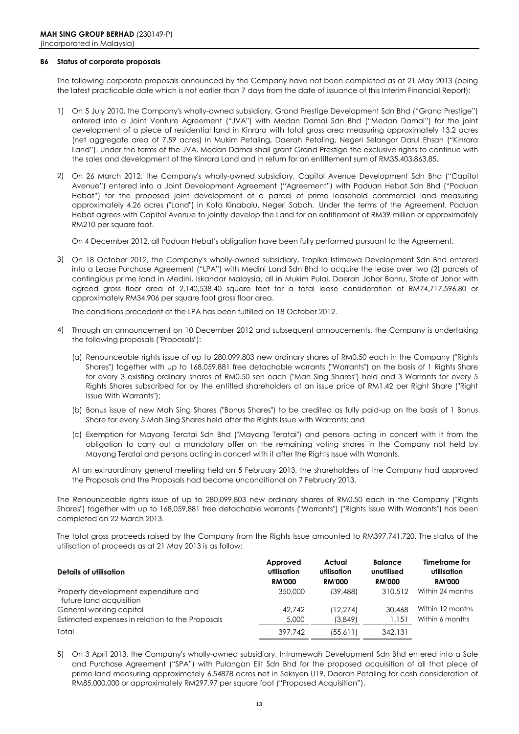#### **B6 Status of corporate proposals**

The following corporate proposals announced by the Company have not been completed as at 21 May 2013 (being the latest practicable date which is not earlier than 7 days from the date of issuance of this Interim Financial Report):

- 1) On 5 July 2010, the Company's wholly-owned subsidiary, Grand Prestige Development Sdn Bhd ("Grand Prestige") entered into a Joint Venture Agreement ("JVA") with Medan Damai Sdn Bhd ("Medan Damai") for the joint development of a piece of residential land in Kinrara with total gross area measuring approximately 13.2 acres (net aggregate area of 7.59 acres) in Mukim Petaling, Daerah Petaling, Negeri Selangor Darul Ehsan ("Kinrara Land"). Under the terms of the JVA, Medan Damai shall grant Grand Prestige the exclusive rights to continue with the sales and development of the Kinrara Land and in return for an entitlement sum of RM35,403,863.85.
- 2) On 26 March 2012, the Company's wholly-owned subsidiary, Capitol Avenue Development Sdn Bhd ("Capitol Avenue") entered into a Joint Development Agreement ("Agreement") with Paduan Hebat Sdn Bhd ("Paduan Hebat") for the proposed joint development of a parcel of prime leasehold commercial land measuring approximately 4.26 acres ("Land") in Kota Kinabalu, Negeri Sabah. Under the terms of the Agreement, Paduan Hebat agrees with Capitol Avenue to jointly develop the Land for an entitlement of RM39 million or approximately RM210 per square foot.

On 4 December 2012, all Paduan Hebat's obligation have been fully performed pursuant to the Agreement.

3) On 18 October 2012, the Company's wholly-owned subsidiary, Tropika Istimewa Development Sdn Bhd entered into a Lease Purchase Agreement ("LPA") with Medini Land Sdn Bhd to acquire the lease over two (2) parcels of contingious prime land in Medini, Iskandar Malaysia, all in Mukim Pulai, Daerah Johor Bahru, State of Johor with agreed gross floor area of 2,140,538.40 square feet for a total lease consideration of RM74,717,596.80 or approximately RM34.906 per square foot gross floor area.

The conditions precedent of the LPA has been fulfilled on 18 October 2012.

- 4) Through an announcement on 10 December 2012 and subsequent annoucements, the Company is undertaking the following proposals ("Proposals"):
	- (a) Renounceable rights issue of up to 280,099,803 new ordinary shares of RM0.50 each in the Company ("Rights Shares") together with up to 168,059,881 free detachable warrants ("Warrants") on the basis of 1 Rights Share for every 3 existing ordinary shares of RM0.50 sen each ("Mah Sing Shares") held and 3 Warrants for every 5 Rights Shares subscribed for by the entitled shareholders at an issue price of RM1.42 per Right Share ("Right Issue With Warrants");
	- (b) Bonus issue of new Mah Sing Shares ("Bonus Shares") to be credited as fully paid-up on the basis of 1 Bonus Share for every 5 Mah Sing Shares held after the Rights Issue with Warrants; and
	- (c) Exemption for Mayang Teratai Sdn Bhd ("Mayang Teratai") and persons acting in concert with it from the obligation to carry out a mandatory offer on the remaining voting shares in the Company not held by Mayang Teratai and persons acting in concert with it after the Rights Issue with Warrants.

At an extraordinary general meeting held on 5 February 2013, the shareholders of the Company had approved the Proposals and the Proposals had become unconditional on 7 February 2013.

The Renounceable rights issue of up to 280,099,803 new ordinary shares of RM0.50 each in the Company ("Rights Shares") together with up to 168,059,881 free detachable warrants ("Warrants") ("Rights Issue With Warrants") has been completed on 22 March 2013.

The total gross proceeds raised by the Company from the Rights Issue amounted to RM397,741,720. The status of the utilisation of proceeds as at 21 May 2013 is as follow:

| Details of utilisation                                          | Approved<br>utilisation<br><b>RM'000</b> | Actual<br>utilisation<br><b>RM'000</b> | <b>Balance</b><br>unutilised<br><b>RM'000</b> | Timeframe for<br>utilisation<br><b>RM'000</b> |
|-----------------------------------------------------------------|------------------------------------------|----------------------------------------|-----------------------------------------------|-----------------------------------------------|
| Property development expenditure and<br>future land acquisition | 350,000                                  | (39, 488)                              | 310.512                                       | Within 24 months                              |
| General working capital                                         | 42.742                                   | (12.274)                               | 30,468                                        | Within 12 months                              |
| Estimated expenses in relation to the Proposals                 | 5,000                                    | (3,849)                                | 1,151                                         | Within 6 months                               |
| Total                                                           | 397.742                                  | (55,611)                               | 342,131                                       |                                               |

5) On 3 April 2013, the Company's wholly-owned subsidiary, Intramewah Development Sdn Bhd entered into a Sale and Purchase Agreement ("SPA") with Pulangan Elit Sdn Bhd for the proposed acquisition of all that piece of prime land measuring approximately 6.54878 acres net in Seksyen U19, Daerah Petaling for cash consideration of RM85,000,000 or approximately RM297.97 per square foot ("Proposed Acquisition").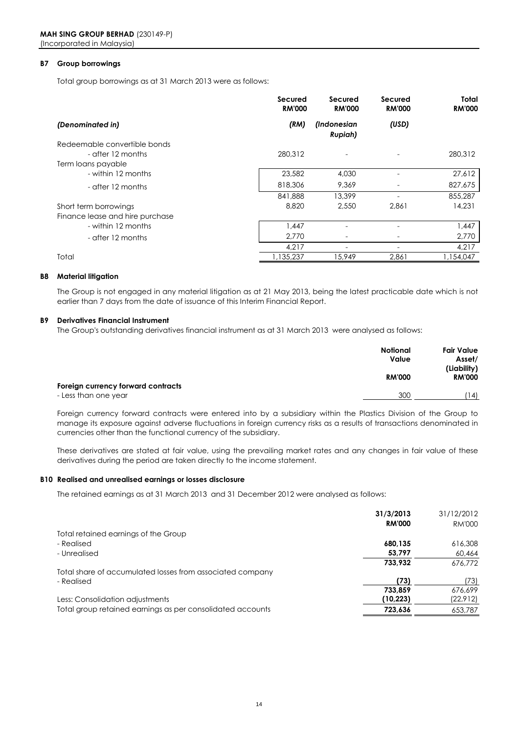#### **B7 Group borrowings**

Total group borrowings as at 31 March 2013 were as follows:

|                                 | Secured<br><b>RM'000</b> | Secured<br><b>RM'000</b>      | Secured<br><b>RM'000</b> | Total<br><b>RM'000</b> |
|---------------------------------|--------------------------|-------------------------------|--------------------------|------------------------|
| (Denominated in)                | (RM)                     | (Indonesian<br><b>Rupiah)</b> | (USD)                    |                        |
| Redeemable convertible bonds    |                          |                               |                          |                        |
| - after 12 months               | 280.312                  |                               |                          | 280,312                |
| Term loans payable              |                          |                               |                          |                        |
| - within 12 months              | 23,582                   | 4,030                         |                          | 27,612                 |
| - after 12 months               | 818,306                  | 9.369                         |                          | 827,675                |
|                                 | 841,888                  | 13,399                        |                          | 855,287                |
| Short term borrowings           | 8,820                    | 2,550                         | 2,861                    | 14,231                 |
| Finance lease and hire purchase |                          |                               |                          |                        |
| - within 12 months              | 1,447                    |                               |                          | 1,447                  |
| - after 12 months               | 2,770                    |                               |                          | 2,770                  |
|                                 | 4,217                    | ۰                             | ۰                        | 4,217                  |
| Total                           | 1,135,237                | 15,949                        | 2,861                    | ,154,047               |

#### **B8 Material litigation**

The Group is not engaged in any material litigation as at 21 May 2013, being the latest practicable date which is not earlier than 7 days from the date of issuance of this Interim Financial Report.

#### **B9 Derivatives Financial Instrument**

The Group's outstanding derivatives financial instrument as at 31 March 2013 were analysed as follows:

|                                    | <b>Notional</b><br>Value | <b>Fair Value</b><br>Asset/  |
|------------------------------------|--------------------------|------------------------------|
| Foreign currency forward contracts | <b>RM'000</b>            | (Liability)<br><b>RM'000</b> |
| - Less than one year               | 300                      | (14)                         |

Foreign currency forward contracts were entered into by a subsidiary within the Plastics Division of the Group to manage its exposure against adverse fluctuations in foreign currency risks as a results of transactions denominated in currencies other than the functional currency of the subsidiary.

These derivatives are stated at fair value, using the prevailing market rates and any changes in fair value of these derivatives during the period are taken directly to the income statement.

#### **B10 Realised and unrealised earnings or losses disclosure**

The retained earnings as at 31 March 2013 and 31 December 2012 were analysed as follows:

|                                                            | 31/3/2013     | 31/12/2012    |
|------------------------------------------------------------|---------------|---------------|
|                                                            | <b>RM'000</b> | <b>RM'000</b> |
| Total retained earnings of the Group                       |               |               |
| - Realised                                                 | 680,135       | 616,308       |
| - Unrealised                                               | 53,797        | 60,464        |
|                                                            | 733,932       | 676.772       |
| Total share of accumulated losses from associated company  |               |               |
| - Realised                                                 | (73)          | (73)          |
|                                                            | 733.859       | 676.699       |
| Less: Consolidation adjustments                            | (10, 223)     | (22, 912)     |
| Total group retained earnings as per consolidated accounts | 723,636       | 653,787       |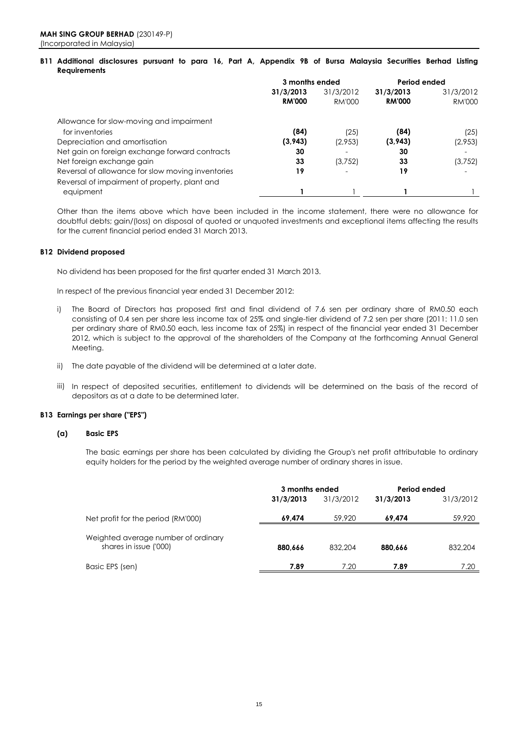#### B11 Additional disclosures pursuant to para 16, Part A, Appendix 9B of Bursa Malaysia Securities Berhad Listing **Requirements**

|                                                   | 3 months ended |                          | Period ended  |               |
|---------------------------------------------------|----------------|--------------------------|---------------|---------------|
|                                                   | 31/3/2013      | 31/3/2012                | 31/3/2013     | 31/3/2012     |
|                                                   | <b>RM'000</b>  | RM'000                   | <b>RM'000</b> | <b>RM'000</b> |
| Allowance for slow-moving and impairment          |                |                          |               |               |
| for inventories                                   | (84)           | (25)                     | (84)          | (25)          |
| Depreciation and amortisation                     | (3,943)        | (2,953)                  | (3,943)       | (2,953)       |
| Net gain on foreign exchange forward contracts    | 30             | $\overline{\phantom{a}}$ | 30            |               |
| Net foreign exchange gain                         | 33             | (3,752)                  | 33            | (3,752)       |
| Reversal of allowance for slow moving inventories | 19             |                          | 19            |               |
| Reversal of impairment of property, plant and     |                |                          |               |               |
| equipment                                         |                |                          |               |               |

Other than the items above which have been included in the income statement, there were no allowance for doubtful debts; gain/(loss) on disposal of quoted or unquoted investments and exceptional items affecting the results for the current financial period ended 31 March 2013.

#### **B12 Dividend proposed**

No dividend has been proposed for the first quarter ended 31 March 2013.

In respect of the previous financial year ended 31 December 2012:

- i) The Board of Directors has proposed first and final dividend of 7.6 sen per ordinary share of RM0.50 each consisting of 0.4 sen per share less income tax of 25% and single-tier dividend of 7.2 sen per share (2011: 11.0 sen per ordinary share of RM0.50 each, less income tax of 25%) in respect of the financial year ended 31 December 2012, which is subject to the approval of the shareholders of the Company at the forthcoming Annual General Meeting.
- ii) The date payable of the dividend will be determined at a later date.
- iii) In respect of deposited securities, entitlement to dividends will be determined on the basis of the record of depositors as at a date to be determined later.

### **B13 Earnings per share ("EPS")**

#### **(a) Basic EPS**

The basic earnings per share has been calculated by dividing the Group's net profit attributable to ordinary equity holders for the period by the weighted average number of ordinary shares in issue.

|                                                               | 3 months ended |           | Period ended |           |
|---------------------------------------------------------------|----------------|-----------|--------------|-----------|
|                                                               | 31/3/2013      | 31/3/2012 | 31/3/2013    | 31/3/2012 |
| Net profit for the period (RM'000)                            | 69.474         | 59,920    | 69.474       | 59,920    |
| Weighted average number of ordinary<br>shares in issue ('000) | 880.666        | 832,204   | 880.666      | 832,204   |
| Basic EPS (sen)                                               | 7.89           | 7.20      | 7.89         | 7.20      |